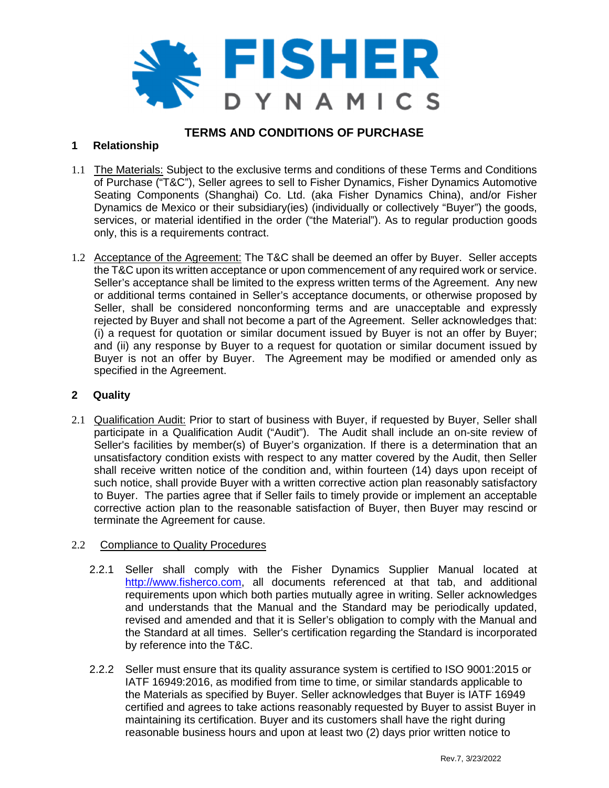

# **TERMS AND CONDITIONS OF PURCHASE**

# **1 Relationship**

- 1.1 The Materials: Subject to the exclusive terms and conditions of these Terms and Conditions of Purchase ("T&C"), Seller agrees to sell to Fisher Dynamics, Fisher Dynamics Automotive Seating Components (Shanghai) Co. Ltd. (aka Fisher Dynamics China), and/or Fisher Dynamics de Mexico or their subsidiary(ies) (individually or collectively "Buyer") the goods, services, or material identified in the order ("the Material"). As to regular production goods only, this is a requirements contract.
- 1.2 Acceptance of the Agreement: The T&C shall be deemed an offer by Buyer. Seller accepts the T&C upon its written acceptance or upon commencement of any required work or service. Seller's acceptance shall be limited to the express written terms of the Agreement. Any new or additional terms contained in Seller's acceptance documents, or otherwise proposed by Seller, shall be considered nonconforming terms and are unacceptable and expressly rejected by Buyer and shall not become a part of the Agreement. Seller acknowledges that: (i) a request for quotation or similar document issued by Buyer is not an offer by Buyer; and (ii) any response by Buyer to a request for quotation or similar document issued by Buyer is not an offer by Buyer. The Agreement may be modified or amended only as specified in the Agreement.

### **2 Quality**

2.1 Qualification Audit: Prior to start of business with Buyer, if requested by Buyer, Seller shall participate in a Qualification Audit ("Audit"). The Audit shall include an on-site review of Seller's facilities by member(s) of Buyer's organization. If there is a determination that an unsatisfactory condition exists with respect to any matter covered by the Audit, then Seller shall receive written notice of the condition and, within fourteen (14) days upon receipt of such notice, shall provide Buyer with a written corrective action plan reasonably satisfactory to Buyer. The parties agree that if Seller fails to timely provide or implement an acceptable corrective action plan to the reasonable satisfaction of Buyer, then Buyer may rescind or terminate the Agreement for cause.

# 2.2 Compliance to Quality Procedures

- 2.2.1 Seller shall comply with the Fisher Dynamics Supplier Manual located at http://www.fisherco.com, all documents referenced at that tab, and additional requirements upon which both parties mutually agree in writing. Seller acknowledges and understands that the Manual and the Standard may be periodically updated, revised and amended and that it is Seller's obligation to comply with the Manual and the Standard at all times. Seller's certification regarding the Standard is incorporated by reference into the T&C.
- 2.2.2 Seller must ensure that its quality assurance system is certified to ISO 9001:2015 or IATF 16949:2016, as modified from time to time, or similar standards applicable to the Materials as specified by Buyer. Seller acknowledges that Buyer is IATF 16949 certified and agrees to take actions reasonably requested by Buyer to assist Buyer in maintaining its certification. Buyer and its customers shall have the right during reasonable business hours and upon at least two (2) days prior written notice to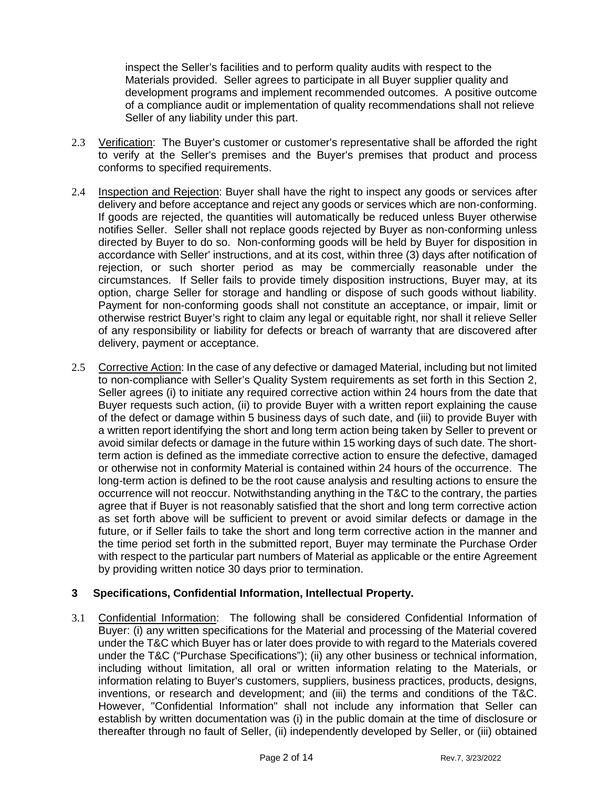inspect the Seller's facilities and to perform quality audits with respect to the Materials provided. Seller agrees to participate in all Buyer supplier quality and development programs and implement recommended outcomes. A positive outcome of a compliance audit or implementation of quality recommendations shall not relieve Seller of any liability under this part.

- 2.3 Verification: The Buyer's customer or customer's representative shall be afforded the right to verify at the Seller's premises and the Buyer's premises that product and process conforms to specified requirements.
- 2.4 Inspection and Rejection: Buyer shall have the right to inspect any goods or services after delivery and before acceptance and reject any goods or services which are non-conforming. If goods are rejected, the quantities will automatically be reduced unless Buyer otherwise notifies Seller. Seller shall not replace goods rejected by Buyer as non-conforming unless directed by Buyer to do so. Non-conforming goods will be held by Buyer for disposition in accordance with Seller' instructions, and at its cost, within three (3) days after notification of rejection, or such shorter period as may be commercially reasonable under the circumstances. If Seller fails to provide timely disposition instructions, Buyer may, at its option, charge Seller for storage and handling or dispose of such goods without liability. Payment for non-conforming goods shall not constitute an acceptance, or impair, limit or otherwise restrict Buyer's right to claim any legal or equitable right, nor shall it relieve Seller of any responsibility or liability for defects or breach of warranty that are discovered after delivery, payment or acceptance.
- 2.5 Corrective Action: In the case of any defective or damaged Material, including but not limited to non-compliance with Seller's Quality System requirements as set forth in this Section 2, Seller agrees (i) to initiate any required corrective action within 24 hours from the date that Buyer requests such action, (ii) to provide Buyer with a written report explaining the cause of the defect or damage within 5 business days of such date, and (iii) to provide Buyer with a written report identifying the short and long term action being taken by Seller to prevent or avoid similar defects or damage in the future within 15 working days of such date. The shortterm action is defined as the immediate corrective action to ensure the defective, damaged or otherwise not in conformity Material is contained within 24 hours of the occurrence. The long-term action is defined to be the root cause analysis and resulting actions to ensure the occurrence will not reoccur. Notwithstanding anything in the T&C to the contrary, the parties agree that if Buyer is not reasonably satisfied that the short and long term corrective action as set forth above will be sufficient to prevent or avoid similar defects or damage in the future, or if Seller fails to take the short and long term corrective action in the manner and the time period set forth in the submitted report, Buyer may terminate the Purchase Order with respect to the particular part numbers of Material as applicable or the entire Agreement by providing written notice 30 days prior to termination.

# **3 Specifications, Confidential Information, Intellectual Property.**

3.1 Confidential Information: The following shall be considered Confidential Information of Buyer: (i) any written specifications for the Material and processing of the Material covered under the T&C which Buyer has or later does provide to with regard to the Materials covered under the T&C ("Purchase Specifications"); (ii) any other business or technical information, including without limitation, all oral or written information relating to the Materials, or information relating to Buyer's customers, suppliers, business practices, products, designs, inventions, or research and development; and (iii) the terms and conditions of the T&C. However, "Confidential Information" shall not include any information that Seller can establish by written documentation was (i) in the public domain at the time of disclosure or thereafter through no fault of Seller, (ii) independently developed by Seller, or (iii) obtained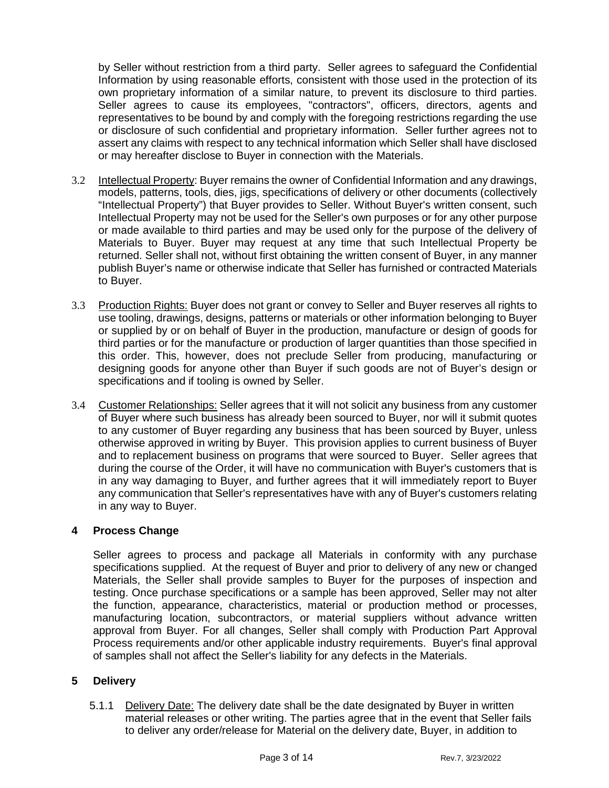by Seller without restriction from a third party. Seller agrees to safeguard the Confidential Information by using reasonable efforts, consistent with those used in the protection of its own proprietary information of a similar nature, to prevent its disclosure to third parties. Seller agrees to cause its employees, "contractors", officers, directors, agents and representatives to be bound by and comply with the foregoing restrictions regarding the use or disclosure of such confidential and proprietary information. Seller further agrees not to assert any claims with respect to any technical information which Seller shall have disclosed or may hereafter disclose to Buyer in connection with the Materials.

- 3.2 Intellectual Property: Buyer remains the owner of Confidential Information and any drawings, models, patterns, tools, dies, jigs, specifications of delivery or other documents (collectively "Intellectual Property") that Buyer provides to Seller. Without Buyer's written consent, such Intellectual Property may not be used for the Seller's own purposes or for any other purpose or made available to third parties and may be used only for the purpose of the delivery of Materials to Buyer. Buyer may request at any time that such Intellectual Property be returned. Seller shall not, without first obtaining the written consent of Buyer, in any manner publish Buyer's name or otherwise indicate that Seller has furnished or contracted Materials to Buyer.
- 3.3 Production Rights: Buyer does not grant or convey to Seller and Buyer reserves all rights to use tooling, drawings, designs, patterns or materials or other information belonging to Buyer or supplied by or on behalf of Buyer in the production, manufacture or design of goods for third parties or for the manufacture or production of larger quantities than those specified in this order. This, however, does not preclude Seller from producing, manufacturing or designing goods for anyone other than Buyer if such goods are not of Buyer's design or specifications and if tooling is owned by Seller.
- 3.4 Customer Relationships: Seller agrees that it will not solicit any business from any customer of Buyer where such business has already been sourced to Buyer, nor will it submit quotes to any customer of Buyer regarding any business that has been sourced by Buyer, unless otherwise approved in writing by Buyer. This provision applies to current business of Buyer and to replacement business on programs that were sourced to Buyer. Seller agrees that during the course of the Order, it will have no communication with Buyer's customers that is in any way damaging to Buyer, and further agrees that it will immediately report to Buyer any communication that Seller's representatives have with any of Buyer's customers relating in any way to Buyer.

# **4 Process Change**

Seller agrees to process and package all Materials in conformity with any purchase specifications supplied. At the request of Buyer and prior to delivery of any new or changed Materials, the Seller shall provide samples to Buyer for the purposes of inspection and testing. Once purchase specifications or a sample has been approved, Seller may not alter the function, appearance, characteristics, material or production method or processes, manufacturing location, subcontractors, or material suppliers without advance written approval from Buyer. For all changes, Seller shall comply with Production Part Approval Process requirements and/or other applicable industry requirements. Buyer's final approval of samples shall not affect the Seller's liability for any defects in the Materials.

# **5 Delivery**

5.1.1 Delivery Date: The delivery date shall be the date designated by Buyer in written material releases or other writing. The parties agree that in the event that Seller fails to deliver any order/release for Material on the delivery date, Buyer, in addition to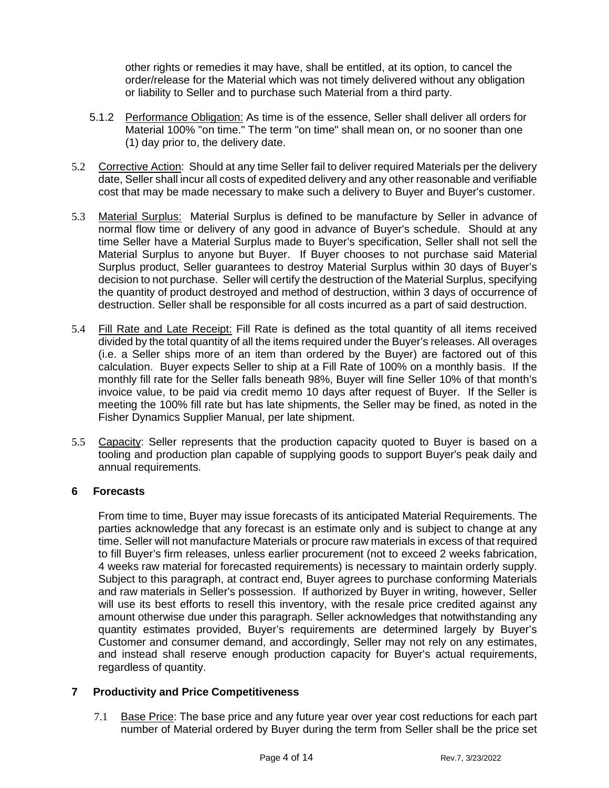other rights or remedies it may have, shall be entitled, at its option, to cancel the order/release for the Material which was not timely delivered without any obligation or liability to Seller and to purchase such Material from a third party.

- 5.1.2 Performance Obligation: As time is of the essence, Seller shall deliver all orders for Material 100% "on time." The term "on time" shall mean on, or no sooner than one (1) day prior to, the delivery date.
- 5.2 Corrective Action: Should at any time Seller fail to deliver required Materials per the delivery date, Seller shall incur all costs of expedited delivery and any other reasonable and verifiable cost that may be made necessary to make such a delivery to Buyer and Buyer's customer.
- 5.3 Material Surplus: Material Surplus is defined to be manufacture by Seller in advance of normal flow time or delivery of any good in advance of Buyer's schedule. Should at any time Seller have a Material Surplus made to Buyer's specification, Seller shall not sell the Material Surplus to anyone but Buyer. If Buyer chooses to not purchase said Material Surplus product, Seller guarantees to destroy Material Surplus within 30 days of Buyer's decision to not purchase. Seller will certify the destruction of the Material Surplus, specifying the quantity of product destroyed and method of destruction, within 3 days of occurrence of destruction. Seller shall be responsible for all costs incurred as a part of said destruction.
- 5.4 Fill Rate and Late Receipt: Fill Rate is defined as the total quantity of all items received divided by the total quantity of all the items required under the Buyer's releases. All overages (i.e. a Seller ships more of an item than ordered by the Buyer) are factored out of this calculation. Buyer expects Seller to ship at a Fill Rate of 100% on a monthly basis. If the monthly fill rate for the Seller falls beneath 98%, Buyer will fine Seller 10% of that month's invoice value, to be paid via credit memo 10 days after request of Buyer. If the Seller is meeting the 100% fill rate but has late shipments, the Seller may be fined, as noted in the Fisher Dynamics Supplier Manual, per late shipment.
- 5.5 Capacity: Seller represents that the production capacity quoted to Buyer is based on a tooling and production plan capable of supplying goods to support Buyer's peak daily and annual requirements.

# **6 Forecasts**

 From time to time, Buyer may issue forecasts of its anticipated Material Requirements. The parties acknowledge that any forecast is an estimate only and is subject to change at any time. Seller will not manufacture Materials or procure raw materials in excess of that required to fill Buyer's firm releases, unless earlier procurement (not to exceed 2 weeks fabrication, 4 weeks raw material for forecasted requirements) is necessary to maintain orderly supply. Subject to this paragraph, at contract end, Buyer agrees to purchase conforming Materials and raw materials in Seller's possession. If authorized by Buyer in writing, however, Seller will use its best efforts to resell this inventory, with the resale price credited against any amount otherwise due under this paragraph. Seller acknowledges that notwithstanding any quantity estimates provided, Buyer's requirements are determined largely by Buyer's Customer and consumer demand, and accordingly, Seller may not rely on any estimates, and instead shall reserve enough production capacity for Buyer's actual requirements, regardless of quantity.

# **7 Productivity and Price Competitiveness**

7.1 Base Price: The base price and any future year over year cost reductions for each part number of Material ordered by Buyer during the term from Seller shall be the price set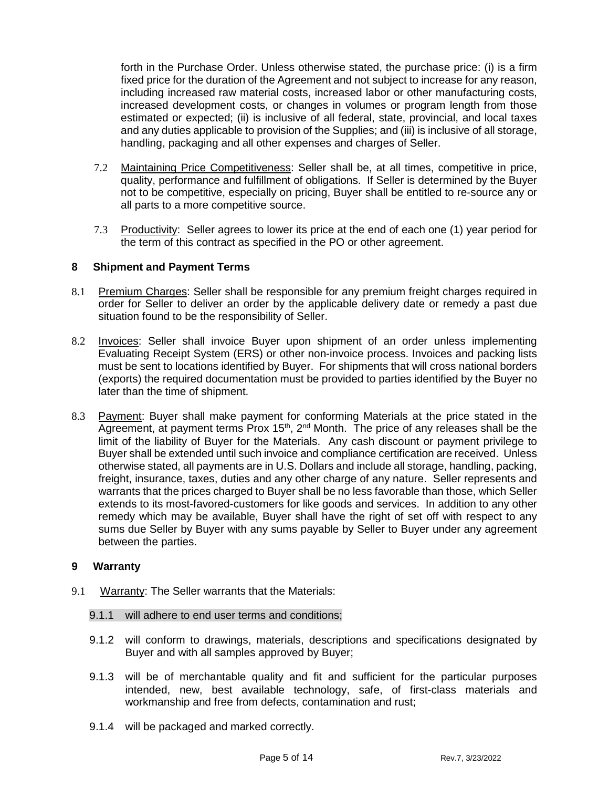forth in the Purchase Order. Unless otherwise stated, the purchase price: (i) is a firm fixed price for the duration of the Agreement and not subject to increase for any reason, including increased raw material costs, increased labor or other manufacturing costs, increased development costs, or changes in volumes or program length from those estimated or expected; (ii) is inclusive of all federal, state, provincial, and local taxes and any duties applicable to provision of the Supplies; and (iii) is inclusive of all storage, handling, packaging and all other expenses and charges of Seller.

- 7.2 Maintaining Price Competitiveness: Seller shall be, at all times, competitive in price, quality, performance and fulfillment of obligations. If Seller is determined by the Buyer not to be competitive, especially on pricing, Buyer shall be entitled to re-source any or all parts to a more competitive source.
- 7.3 Productivity: Seller agrees to lower its price at the end of each one (1) year period for the term of this contract as specified in the PO or other agreement.

### **8 Shipment and Payment Terms**

- 8.1 Premium Charges: Seller shall be responsible for any premium freight charges required in order for Seller to deliver an order by the applicable delivery date or remedy a past due situation found to be the responsibility of Seller.
- 8.2 Invoices: Seller shall invoice Buyer upon shipment of an order unless implementing Evaluating Receipt System (ERS) or other non-invoice process. Invoices and packing lists must be sent to locations identified by Buyer. For shipments that will cross national borders (exports) the required documentation must be provided to parties identified by the Buyer no later than the time of shipment.
- 8.3 Payment: Buyer shall make payment for conforming Materials at the price stated in the  $\overline{A}$ greement, at payment terms Prox 15<sup>th</sup>, 2<sup>nd</sup> Month. The price of any releases shall be the limit of the liability of Buyer for the Materials. Any cash discount or payment privilege to Buyer shall be extended until such invoice and compliance certification are received. Unless otherwise stated, all payments are in U.S. Dollars and include all storage, handling, packing, freight, insurance, taxes, duties and any other charge of any nature. Seller represents and warrants that the prices charged to Buyer shall be no less favorable than those, which Seller extends to its most-favored-customers for like goods and services. In addition to any other remedy which may be available, Buyer shall have the right of set off with respect to any sums due Seller by Buyer with any sums payable by Seller to Buyer under any agreement between the parties.

### **9 Warranty**

9.1 Warranty: The Seller warrants that the Materials:

### 9.1.1 will adhere to end user terms and conditions;

- 9.1.2 will conform to drawings, materials, descriptions and specifications designated by Buyer and with all samples approved by Buyer;
- 9.1.3 will be of merchantable quality and fit and sufficient for the particular purposes intended, new, best available technology, safe, of first-class materials and workmanship and free from defects, contamination and rust;
- 9.1.4 will be packaged and marked correctly.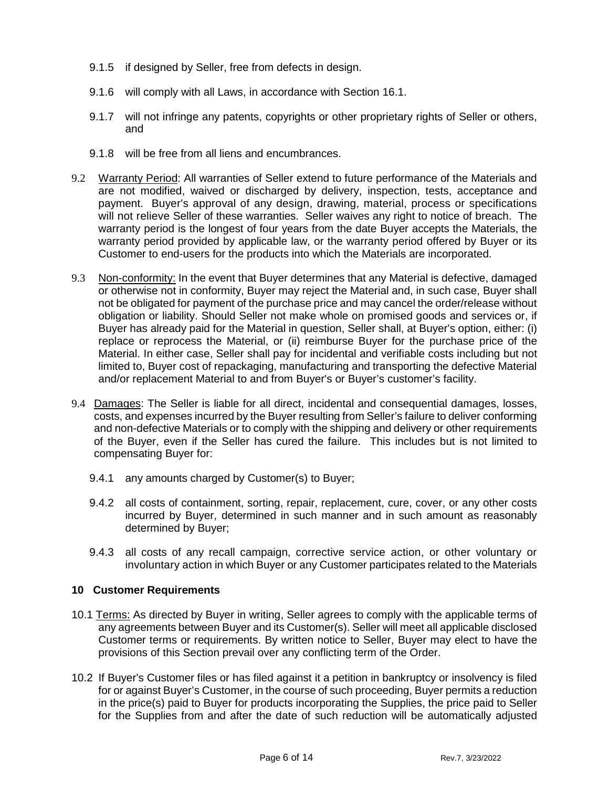- 9.1.5 if designed by Seller, free from defects in design.
- 9.1.6 will comply with all Laws, in accordance with Section 16.1.
- 9.1.7 will not infringe any patents, copyrights or other proprietary rights of Seller or others, and
- 9.1.8 will be free from all liens and encumbrances.
- 9.2 Warranty Period: All warranties of Seller extend to future performance of the Materials and are not modified, waived or discharged by delivery, inspection, tests, acceptance and payment. Buyer's approval of any design, drawing, material, process or specifications will not relieve Seller of these warranties. Seller waives any right to notice of breach. The warranty period is the longest of four years from the date Buyer accepts the Materials, the warranty period provided by applicable law, or the warranty period offered by Buyer or its Customer to end-users for the products into which the Materials are incorporated.
- 9.3 Non-conformity: In the event that Buyer determines that any Material is defective, damaged or otherwise not in conformity, Buyer may reject the Material and, in such case, Buyer shall not be obligated for payment of the purchase price and may cancel the order/release without obligation or liability. Should Seller not make whole on promised goods and services or, if Buyer has already paid for the Material in question, Seller shall, at Buyer's option, either: (i) replace or reprocess the Material, or (ii) reimburse Buyer for the purchase price of the Material. In either case, Seller shall pay for incidental and verifiable costs including but not limited to, Buyer cost of repackaging, manufacturing and transporting the defective Material and/or replacement Material to and from Buyer's or Buyer's customer's facility.
- 9.4 Damages: The Seller is liable for all direct, incidental and consequential damages, losses, costs, and expenses incurred by the Buyer resulting from Seller's failure to deliver conforming and non-defective Materials or to comply with the shipping and delivery or other requirements of the Buyer, even if the Seller has cured the failure. This includes but is not limited to compensating Buyer for:
	- 9.4.1 any amounts charged by Customer(s) to Buyer;
	- 9.4.2 all costs of containment, sorting, repair, replacement, cure, cover, or any other costs incurred by Buyer, determined in such manner and in such amount as reasonably determined by Buyer;
	- 9.4.3 all costs of any recall campaign, corrective service action, or other voluntary or involuntary action in which Buyer or any Customer participates related to the Materials

# **10 Customer Requirements**

- 10.1 Terms: As directed by Buyer in writing, Seller agrees to comply with the applicable terms of any agreements between Buyer and its Customer(s). Seller will meet all applicable disclosed Customer terms or requirements. By written notice to Seller, Buyer may elect to have the provisions of this Section prevail over any conflicting term of the Order.
- 10.2 If Buyer's Customer files or has filed against it a petition in bankruptcy or insolvency is filed for or against Buyer's Customer, in the course of such proceeding, Buyer permits a reduction in the price(s) paid to Buyer for products incorporating the Supplies, the price paid to Seller for the Supplies from and after the date of such reduction will be automatically adjusted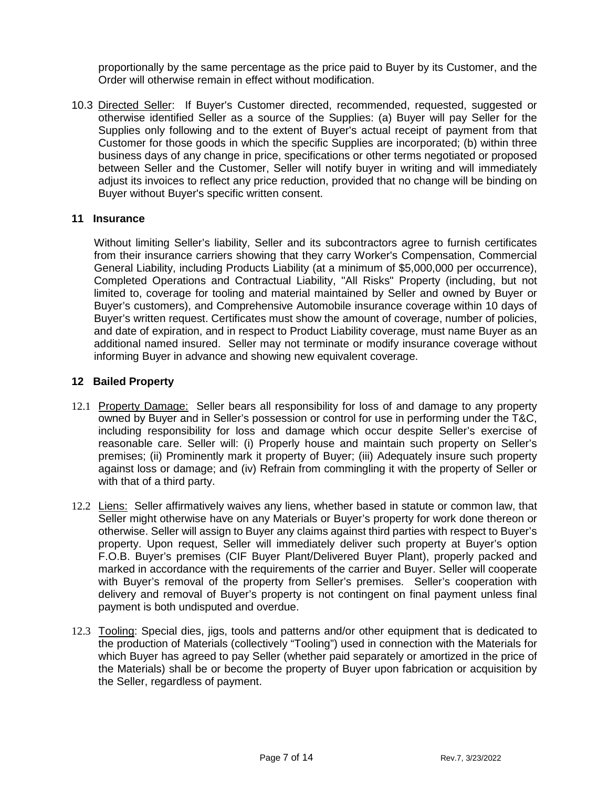proportionally by the same percentage as the price paid to Buyer by its Customer, and the Order will otherwise remain in effect without modification.

10.3 Directed Seller: If Buyer's Customer directed, recommended, requested, suggested or otherwise identified Seller as a source of the Supplies: (a) Buyer will pay Seller for the Supplies only following and to the extent of Buyer's actual receipt of payment from that Customer for those goods in which the specific Supplies are incorporated; (b) within three business days of any change in price, specifications or other terms negotiated or proposed between Seller and the Customer, Seller will notify buyer in writing and will immediately adjust its invoices to reflect any price reduction, provided that no change will be binding on Buyer without Buyer's specific written consent.

### **11 Insurance**

 Without limiting Seller's liability, Seller and its subcontractors agree to furnish certificates from their insurance carriers showing that they carry Worker's Compensation, Commercial General Liability, including Products Liability (at a minimum of \$5,000,000 per occurrence), Completed Operations and Contractual Liability, "All Risks" Property (including, but not limited to, coverage for tooling and material maintained by Seller and owned by Buyer or Buyer's customers), and Comprehensive Automobile insurance coverage within 10 days of Buyer's written request. Certificates must show the amount of coverage, number of policies, and date of expiration, and in respect to Product Liability coverage, must name Buyer as an additional named insured. Seller may not terminate or modify insurance coverage without informing Buyer in advance and showing new equivalent coverage.

### **12 Bailed Property**

- 12.1 Property Damage: Seller bears all responsibility for loss of and damage to any property owned by Buyer and in Seller's possession or control for use in performing under the T&C, including responsibility for loss and damage which occur despite Seller's exercise of reasonable care. Seller will: (i) Properly house and maintain such property on Seller's premises; (ii) Prominently mark it property of Buyer; (iii) Adequately insure such property against loss or damage; and (iv) Refrain from commingling it with the property of Seller or with that of a third party.
- 12.2 Liens: Seller affirmatively waives any liens, whether based in statute or common law, that Seller might otherwise have on any Materials or Buyer's property for work done thereon or otherwise. Seller will assign to Buyer any claims against third parties with respect to Buyer's property. Upon request, Seller will immediately deliver such property at Buyer's option F.O.B. Buyer's premises (CIF Buyer Plant/Delivered Buyer Plant), properly packed and marked in accordance with the requirements of the carrier and Buyer. Seller will cooperate with Buyer's removal of the property from Seller's premises. Seller's cooperation with delivery and removal of Buyer's property is not contingent on final payment unless final payment is both undisputed and overdue.
- 12.3 Tooling: Special dies, jigs, tools and patterns and/or other equipment that is dedicated to the production of Materials (collectively "Tooling") used in connection with the Materials for which Buyer has agreed to pay Seller (whether paid separately or amortized in the price of the Materials) shall be or become the property of Buyer upon fabrication or acquisition by the Seller, regardless of payment.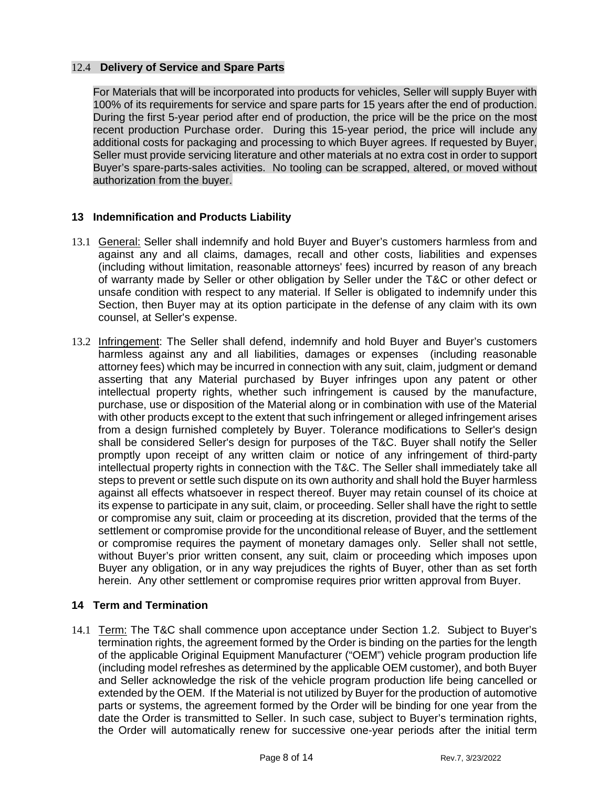# 12.4 **Delivery of Service and Spare Parts**

For Materials that will be incorporated into products for vehicles, Seller will supply Buyer with 100% of its requirements for service and spare parts for 15 years after the end of production. During the first 5-year period after end of production, the price will be the price on the most recent production Purchase order. During this 15-year period, the price will include any additional costs for packaging and processing to which Buyer agrees. If requested by Buyer, Seller must provide servicing literature and other materials at no extra cost in order to support Buyer's spare-parts-sales activities. No tooling can be scrapped, altered, or moved without authorization from the buyer.

# **13 Indemnification and Products Liability**

- 13.1 General: Seller shall indemnify and hold Buyer and Buyer's customers harmless from and against any and all claims, damages, recall and other costs, liabilities and expenses (including without limitation, reasonable attorneys' fees) incurred by reason of any breach of warranty made by Seller or other obligation by Seller under the T&C or other defect or unsafe condition with respect to any material. If Seller is obligated to indemnify under this Section, then Buyer may at its option participate in the defense of any claim with its own counsel, at Seller's expense.
- 13.2 Infringement: The Seller shall defend, indemnify and hold Buyer and Buyer's customers harmless against any and all liabilities, damages or expenses (including reasonable attorney fees) which may be incurred in connection with any suit, claim, judgment or demand asserting that any Material purchased by Buyer infringes upon any patent or other intellectual property rights, whether such infringement is caused by the manufacture, purchase, use or disposition of the Material along or in combination with use of the Material with other products except to the extent that such infringement or alleged infringement arises from a design furnished completely by Buyer. Tolerance modifications to Seller's design shall be considered Seller's design for purposes of the T&C. Buyer shall notify the Seller promptly upon receipt of any written claim or notice of any infringement of third-party intellectual property rights in connection with the T&C. The Seller shall immediately take all steps to prevent or settle such dispute on its own authority and shall hold the Buyer harmless against all effects whatsoever in respect thereof. Buyer may retain counsel of its choice at its expense to participate in any suit, claim, or proceeding. Seller shall have the right to settle or compromise any suit, claim or proceeding at its discretion, provided that the terms of the settlement or compromise provide for the unconditional release of Buyer, and the settlement or compromise requires the payment of monetary damages only. Seller shall not settle, without Buyer's prior written consent, any suit, claim or proceeding which imposes upon Buyer any obligation, or in any way prejudices the rights of Buyer, other than as set forth herein. Any other settlement or compromise requires prior written approval from Buyer.

# **14 Term and Termination**

14.1 Term: The T&C shall commence upon acceptance under Section 1.2. Subject to Buyer's termination rights, the agreement formed by the Order is binding on the parties for the length of the applicable Original Equipment Manufacturer ("OEM") vehicle program production life (including model refreshes as determined by the applicable OEM customer), and both Buyer and Seller acknowledge the risk of the vehicle program production life being cancelled or extended by the OEM. If the Material is not utilized by Buyer for the production of automotive parts or systems, the agreement formed by the Order will be binding for one year from the date the Order is transmitted to Seller. In such case, subject to Buyer's termination rights, the Order will automatically renew for successive one-year periods after the initial term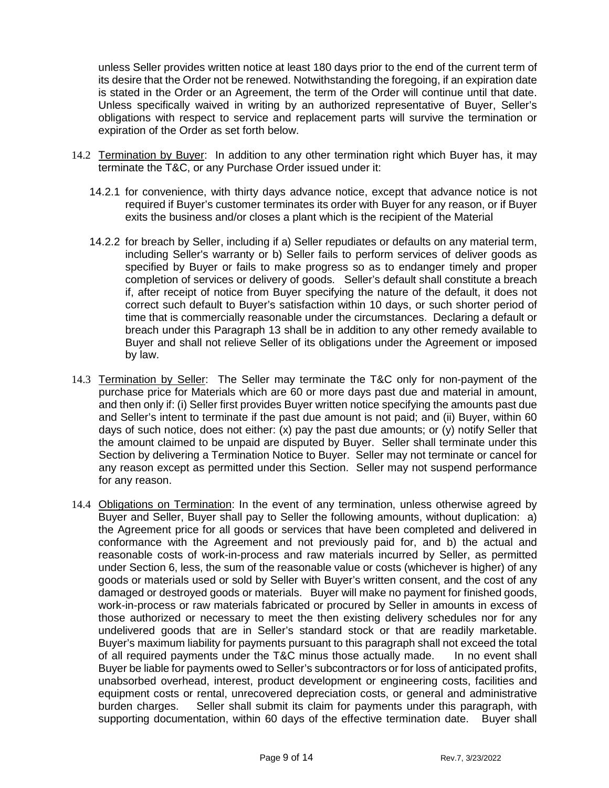unless Seller provides written notice at least 180 days prior to the end of the current term of its desire that the Order not be renewed. Notwithstanding the foregoing, if an expiration date is stated in the Order or an Agreement, the term of the Order will continue until that date. Unless specifically waived in writing by an authorized representative of Buyer, Seller's obligations with respect to service and replacement parts will survive the termination or expiration of the Order as set forth below.

- 14.2 Termination by Buyer:In addition to any other termination right which Buyer has, it may terminate the T&C, or any Purchase Order issued under it:
	- 14.2.1 for convenience, with thirty days advance notice, except that advance notice is not required if Buyer's customer terminates its order with Buyer for any reason, or if Buyer exits the business and/or closes a plant which is the recipient of the Material
	- 14.2.2 for breach by Seller, including if a) Seller repudiates or defaults on any material term, including Seller's warranty or b) Seller fails to perform services of deliver goods as specified by Buyer or fails to make progress so as to endanger timely and proper completion of services or delivery of goods. Seller's default shall constitute a breach if, after receipt of notice from Buyer specifying the nature of the default, it does not correct such default to Buyer's satisfaction within 10 days, or such shorter period of time that is commercially reasonable under the circumstances. Declaring a default or breach under this Paragraph 13 shall be in addition to any other remedy available to Buyer and shall not relieve Seller of its obligations under the Agreement or imposed by law.
- 14.3 Termination by Seller: The Seller may terminate the T&C only for non-payment of the purchase price for Materials which are 60 or more days past due and material in amount, and then only if: (i) Seller first provides Buyer written notice specifying the amounts past due and Seller's intent to terminate if the past due amount is not paid; and (ii) Buyer, within 60 days of such notice, does not either: (x) pay the past due amounts; or (y) notify Seller that the amount claimed to be unpaid are disputed by Buyer. Seller shall terminate under this Section by delivering a Termination Notice to Buyer. Seller may not terminate or cancel for any reason except as permitted under this Section. Seller may not suspend performance for any reason.
- 14.4 Obligations on Termination: In the event of any termination, unless otherwise agreed by Buyer and Seller, Buyer shall pay to Seller the following amounts, without duplication: a) the Agreement price for all goods or services that have been completed and delivered in conformance with the Agreement and not previously paid for, and b) the actual and reasonable costs of work-in-process and raw materials incurred by Seller, as permitted under Section 6, less, the sum of the reasonable value or costs (whichever is higher) of any goods or materials used or sold by Seller with Buyer's written consent, and the cost of any damaged or destroyed goods or materials. Buyer will make no payment for finished goods, work-in-process or raw materials fabricated or procured by Seller in amounts in excess of those authorized or necessary to meet the then existing delivery schedules nor for any undelivered goods that are in Seller's standard stock or that are readily marketable. Buyer's maximum liability for payments pursuant to this paragraph shall not exceed the total of all required payments under the T&C minus those actually made. In no event shall Buyer be liable for payments owed to Seller's subcontractors or for loss of anticipated profits, unabsorbed overhead, interest, product development or engineering costs, facilities and equipment costs or rental, unrecovered depreciation costs, or general and administrative burden charges. Seller shall submit its claim for payments under this paragraph, with supporting documentation, within 60 days of the effective termination date. Buyer shall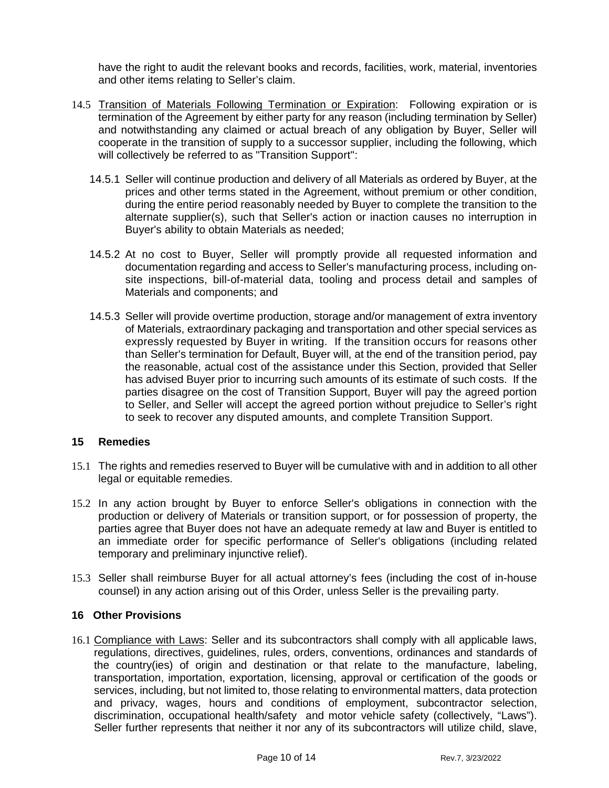have the right to audit the relevant books and records, facilities, work, material, inventories and other items relating to Seller's claim.

- 14.5 Transition of Materials Following Termination or Expiration: Following expiration or is termination of the Agreement by either party for any reason (including termination by Seller) and notwithstanding any claimed or actual breach of any obligation by Buyer, Seller will cooperate in the transition of supply to a successor supplier, including the following, which will collectively be referred to as "Transition Support":
	- 14.5.1 Seller will continue production and delivery of all Materials as ordered by Buyer, at the prices and other terms stated in the Agreement, without premium or other condition, during the entire period reasonably needed by Buyer to complete the transition to the alternate supplier(s), such that Seller's action or inaction causes no interruption in Buyer's ability to obtain Materials as needed;
	- 14.5.2 At no cost to Buyer, Seller will promptly provide all requested information and documentation regarding and access to Seller's manufacturing process, including onsite inspections, bill-of-material data, tooling and process detail and samples of Materials and components; and
	- 14.5.3 Seller will provide overtime production, storage and/or management of extra inventory of Materials, extraordinary packaging and transportation and other special services as expressly requested by Buyer in writing. If the transition occurs for reasons other than Seller's termination for Default, Buyer will, at the end of the transition period, pay the reasonable, actual cost of the assistance under this Section, provided that Seller has advised Buyer prior to incurring such amounts of its estimate of such costs. If the parties disagree on the cost of Transition Support, Buyer will pay the agreed portion to Seller, and Seller will accept the agreed portion without prejudice to Seller's right to seek to recover any disputed amounts, and complete Transition Support.

# **15 Remedies**

- 15.1 The rights and remedies reserved to Buyer will be cumulative with and in addition to all other legal or equitable remedies.
- 15.2 In any action brought by Buyer to enforce Seller's obligations in connection with the production or delivery of Materials or transition support, or for possession of property, the parties agree that Buyer does not have an adequate remedy at law and Buyer is entitled to an immediate order for specific performance of Seller's obligations (including related temporary and preliminary injunctive relief).
- 15.3 Seller shall reimburse Buyer for all actual attorney's fees (including the cost of in-house counsel) in any action arising out of this Order, unless Seller is the prevailing party.

### **16 Other Provisions**

16.1 Compliance with Laws: Seller and its subcontractors shall comply with all applicable laws, regulations, directives, guidelines, rules, orders, conventions, ordinances and standards of the country(ies) of origin and destination or that relate to the manufacture, labeling, transportation, importation, exportation, licensing, approval or certification of the goods or services, including, but not limited to, those relating to environmental matters, data protection and privacy, wages, hours and conditions of employment, subcontractor selection, discrimination, occupational health/safety and motor vehicle safety (collectively, "Laws"). Seller further represents that neither it nor any of its subcontractors will utilize child, slave,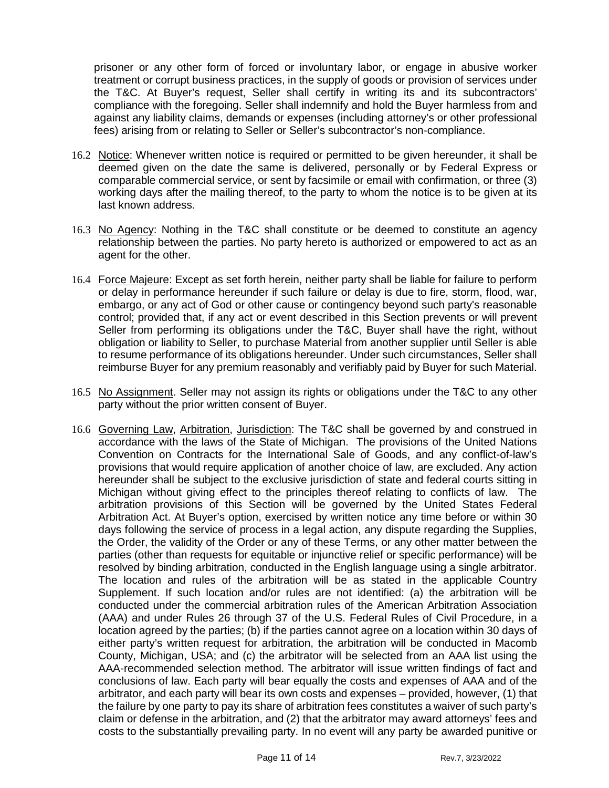prisoner or any other form of forced or involuntary labor, or engage in abusive worker treatment or corrupt business practices, in the supply of goods or provision of services under the T&C. At Buyer's request, Seller shall certify in writing its and its subcontractors' compliance with the foregoing. Seller shall indemnify and hold the Buyer harmless from and against any liability claims, demands or expenses (including attorney's or other professional fees) arising from or relating to Seller or Seller's subcontractor's non-compliance.

- 16.2 Notice: Whenever written notice is required or permitted to be given hereunder, it shall be deemed given on the date the same is delivered, personally or by Federal Express or comparable commercial service, or sent by facsimile or email with confirmation, or three (3) working days after the mailing thereof, to the party to whom the notice is to be given at its last known address.
- 16.3 No Agency: Nothing in the T&C shall constitute or be deemed to constitute an agency relationship between the parties. No party hereto is authorized or empowered to act as an agent for the other.
- 16.4 Force Majeure: Except as set forth herein, neither party shall be liable for failure to perform or delay in performance hereunder if such failure or delay is due to fire, storm, flood, war, embargo, or any act of God or other cause or contingency beyond such party's reasonable control; provided that, if any act or event described in this Section prevents or will prevent Seller from performing its obligations under the T&C, Buyer shall have the right, without obligation or liability to Seller, to purchase Material from another supplier until Seller is able to resume performance of its obligations hereunder. Under such circumstances, Seller shall reimburse Buyer for any premium reasonably and verifiably paid by Buyer for such Material.
- 16.5 No Assignment. Seller may not assign its rights or obligations under the T&C to any other party without the prior written consent of Buyer.
- 16.6 Governing Law, Arbitration, Jurisdiction: The T&C shall be governed by and construed in accordance with the laws of the State of Michigan. The provisions of the United Nations Convention on Contracts for the International Sale of Goods, and any conflict-of-law's provisions that would require application of another choice of law, are excluded. Any action hereunder shall be subject to the exclusive jurisdiction of state and federal courts sitting in Michigan without giving effect to the principles thereof relating to conflicts of law. The arbitration provisions of this Section will be governed by the United States Federal Arbitration Act. At Buyer's option, exercised by written notice any time before or within 30 days following the service of process in a legal action, any dispute regarding the Supplies, the Order, the validity of the Order or any of these Terms, or any other matter between the parties (other than requests for equitable or injunctive relief or specific performance) will be resolved by binding arbitration, conducted in the English language using a single arbitrator. The location and rules of the arbitration will be as stated in the applicable Country Supplement. If such location and/or rules are not identified: (a) the arbitration will be conducted under the commercial arbitration rules of the American Arbitration Association (AAA) and under Rules 26 through 37 of the U.S. Federal Rules of Civil Procedure, in a location agreed by the parties; (b) if the parties cannot agree on a location within 30 days of either party's written request for arbitration, the arbitration will be conducted in Macomb County, Michigan, USA; and (c) the arbitrator will be selected from an AAA list using the AAA-recommended selection method. The arbitrator will issue written findings of fact and conclusions of law. Each party will bear equally the costs and expenses of AAA and of the arbitrator, and each party will bear its own costs and expenses – provided, however, (1) that the failure by one party to pay its share of arbitration fees constitutes a waiver of such party's claim or defense in the arbitration, and (2) that the arbitrator may award attorneys' fees and costs to the substantially prevailing party. In no event will any party be awarded punitive or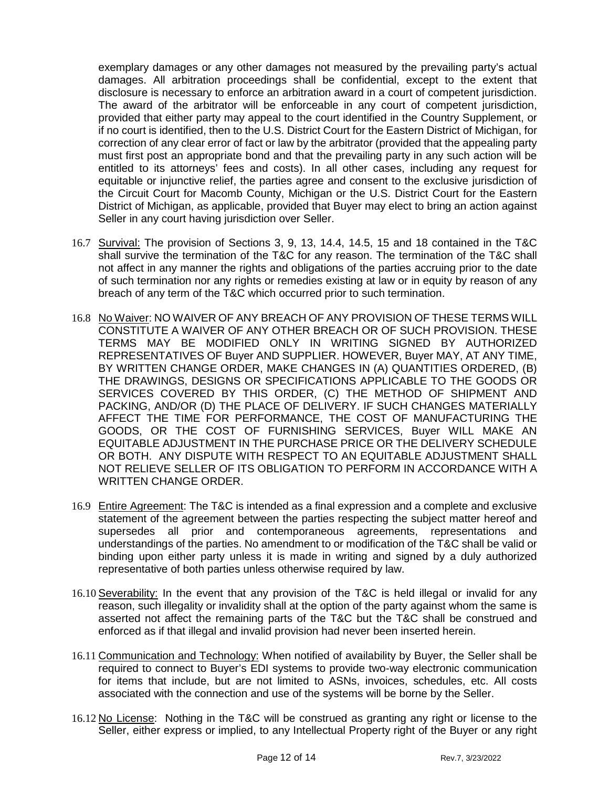exemplary damages or any other damages not measured by the prevailing party's actual damages. All arbitration proceedings shall be confidential, except to the extent that disclosure is necessary to enforce an arbitration award in a court of competent jurisdiction. The award of the arbitrator will be enforceable in any court of competent jurisdiction, provided that either party may appeal to the court identified in the Country Supplement, or if no court is identified, then to the U.S. District Court for the Eastern District of Michigan, for correction of any clear error of fact or law by the arbitrator (provided that the appealing party must first post an appropriate bond and that the prevailing party in any such action will be entitled to its attorneys' fees and costs). In all other cases, including any request for equitable or injunctive relief, the parties agree and consent to the exclusive jurisdiction of the Circuit Court for Macomb County, Michigan or the U.S. District Court for the Eastern District of Michigan, as applicable, provided that Buyer may elect to bring an action against Seller in any court having jurisdiction over Seller.

- 16.7 Survival: The provision of Sections 3, 9, 13, 14.4, 14.5, 15 and 18 contained in the T&C shall survive the termination of the T&C for any reason. The termination of the T&C shall not affect in any manner the rights and obligations of the parties accruing prior to the date of such termination nor any rights or remedies existing at law or in equity by reason of any breach of any term of the T&C which occurred prior to such termination.
- 16.8 No Waiver: NO WAIVER OF ANY BREACH OF ANY PROVISION OF THESE TERMS WILL CONSTITUTE A WAIVER OF ANY OTHER BREACH OR OF SUCH PROVISION. THESE TERMS MAY BE MODIFIED ONLY IN WRITING SIGNED BY AUTHORIZED REPRESENTATIVES OF Buyer AND SUPPLIER. HOWEVER, Buyer MAY, AT ANY TIME, BY WRITTEN CHANGE ORDER, MAKE CHANGES IN (A) QUANTITIES ORDERED, (B) THE DRAWINGS, DESIGNS OR SPECIFICATIONS APPLICABLE TO THE GOODS OR SERVICES COVERED BY THIS ORDER, (C) THE METHOD OF SHIPMENT AND PACKING, AND/OR (D) THE PLACE OF DELIVERY. IF SUCH CHANGES MATERIALLY AFFECT THE TIME FOR PERFORMANCE, THE COST OF MANUFACTURING THE GOODS, OR THE COST OF FURNISHING SERVICES, Buyer WILL MAKE AN EQUITABLE ADJUSTMENT IN THE PURCHASE PRICE OR THE DELIVERY SCHEDULE OR BOTH. ANY DISPUTE WITH RESPECT TO AN EQUITABLE ADJUSTMENT SHALL NOT RELIEVE SELLER OF ITS OBLIGATION TO PERFORM IN ACCORDANCE WITH A WRITTEN CHANGE ORDER.
- 16.9 Entire Agreement: The T&C is intended as a final expression and a complete and exclusive statement of the agreement between the parties respecting the subject matter hereof and supersedes all prior and contemporaneous agreements, representations and understandings of the parties. No amendment to or modification of the T&C shall be valid or binding upon either party unless it is made in writing and signed by a duly authorized representative of both parties unless otherwise required by law.
- 16.10 Severability: In the event that any provision of the T&C is held illegal or invalid for any reason, such illegality or invalidity shall at the option of the party against whom the same is asserted not affect the remaining parts of the T&C but the T&C shall be construed and enforced as if that illegal and invalid provision had never been inserted herein.
- 16.11 Communication and Technology: When notified of availability by Buyer, the Seller shall be required to connect to Buyer's EDI systems to provide two-way electronic communication for items that include, but are not limited to ASNs, invoices, schedules, etc. All costs associated with the connection and use of the systems will be borne by the Seller.
- 16.12 No License: Nothing in the T&C will be construed as granting any right or license to the Seller, either express or implied, to any Intellectual Property right of the Buyer or any right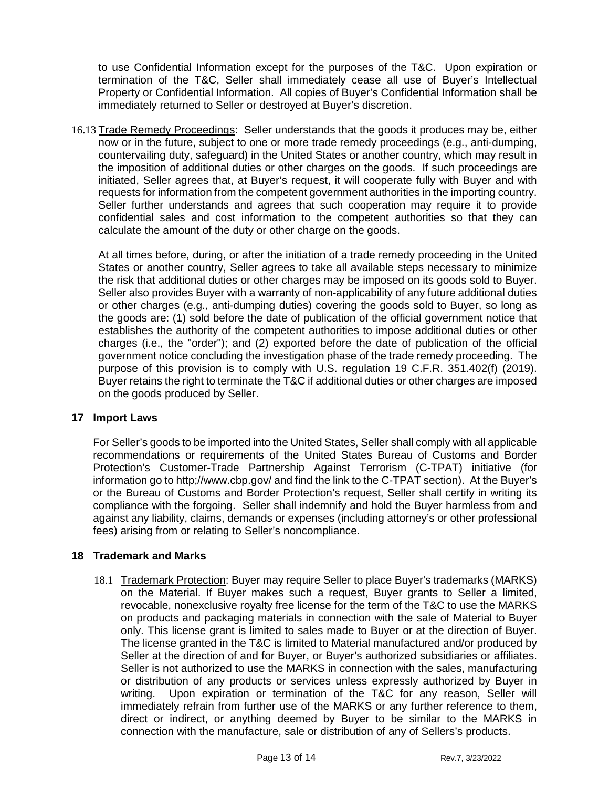to use Confidential Information except for the purposes of the T&C. Upon expiration or termination of the T&C, Seller shall immediately cease all use of Buyer's Intellectual Property or Confidential Information. All copies of Buyer's Confidential Information shall be immediately returned to Seller or destroyed at Buyer's discretion.

16.13 Trade Remedy Proceedings: Seller understands that the goods it produces may be, either now or in the future, subject to one or more trade remedy proceedings (e.g., anti-dumping, countervailing duty, safeguard) in the United States or another country, which may result in the imposition of additional duties or other charges on the goods. If such proceedings are initiated, Seller agrees that, at Buyer's request, it will cooperate fully with Buyer and with requests for information from the competent government authorities in the importing country. Seller further understands and agrees that such cooperation may require it to provide confidential sales and cost information to the competent authorities so that they can calculate the amount of the duty or other charge on the goods.

 At all times before, during, or after the initiation of a trade remedy proceeding in the United States or another country, Seller agrees to take all available steps necessary to minimize the risk that additional duties or other charges may be imposed on its goods sold to Buyer. Seller also provides Buyer with a warranty of non-applicability of any future additional duties or other charges (e.g., anti-dumping duties) covering the goods sold to Buyer, so long as the goods are: (1) sold before the date of publication of the official government notice that establishes the authority of the competent authorities to impose additional duties or other charges (i.e., the "order"); and (2) exported before the date of publication of the official government notice concluding the investigation phase of the trade remedy proceeding. The purpose of this provision is to comply with U.S. regulation 19 C.F.R. 351.402(f) (2019). Buyer retains the right to terminate the T&C if additional duties or other charges are imposed on the goods produced by Seller.

### **17 Import Laws**

For Seller's goods to be imported into the United States, Seller shall comply with all applicable recommendations or requirements of the United States Bureau of Customs and Border Protection's Customer-Trade Partnership Against Terrorism (C-TPAT) initiative (for information go to http;//www.cbp.gov/ and find the link to the C-TPAT section). At the Buyer's or the Bureau of Customs and Border Protection's request, Seller shall certify in writing its compliance with the forgoing. Seller shall indemnify and hold the Buyer harmless from and against any liability, claims, demands or expenses (including attorney's or other professional fees) arising from or relating to Seller's noncompliance.

# **18 Trademark and Marks**

18.1 Trademark Protection: Buyer may require Seller to place Buyer's trademarks (MARKS) on the Material. If Buyer makes such a request, Buyer grants to Seller a limited, revocable, nonexclusive royalty free license for the term of the T&C to use the MARKS on products and packaging materials in connection with the sale of Material to Buyer only. This license grant is limited to sales made to Buyer or at the direction of Buyer. The license granted in the T&C is limited to Material manufactured and/or produced by Seller at the direction of and for Buyer, or Buyer's authorized subsidiaries or affiliates. Seller is not authorized to use the MARKS in connection with the sales, manufacturing or distribution of any products or services unless expressly authorized by Buyer in writing. Upon expiration or termination of the T&C for any reason, Seller will immediately refrain from further use of the MARKS or any further reference to them, direct or indirect, or anything deemed by Buyer to be similar to the MARKS in connection with the manufacture, sale or distribution of any of Sellers's products.